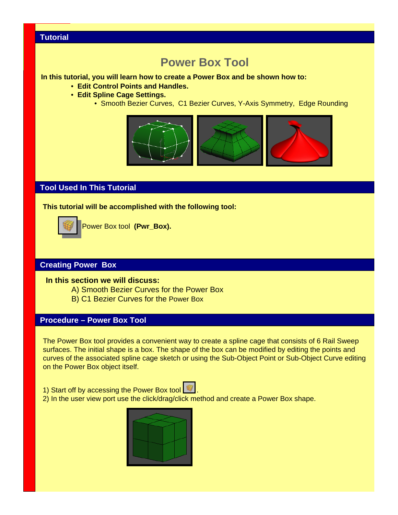# **Power Box Tool**

#### **In this tutorial, you will learn how to create a Power Box and be shown how to:**

- **Edit Control Points and Handles.**
- **Edit Spline Cage Settings.**
	- Smooth Bezier Curves, C1 Bezier Curves, Y-Axis Symmetry, Edge Rounding



# **Tool Used In This Tutorial**

**This tutorial will be accomplished with the following tool:**



Power Box tool **(Pwr\_Box).**

## **Creating Power Box**

#### **In this section we will discuss:**

- A) Smooth Bezier Curves for the Power Box
- B) C1 Bezier Curves for the Power Box

## **Procedure – Power Box Tool**

The Power Box tool provides a convenient way to create a spline cage that consists of 6 Rail Sweep surfaces. The initial shape is a box. The shape of the box can be modified by editing the points and curves of the associated spline cage sketch or using the Sub-Object Point or Sub-Object Curve editing on the Power Box object itself.

1) Start off by accessing the Power Box tool

2) In the user view port use the click/drag/click method and create a Power Box shape.

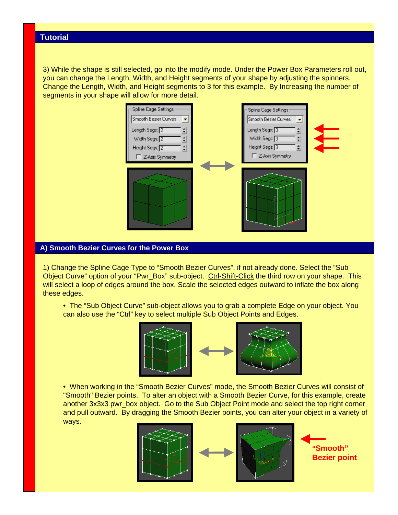3) While the shape is still selected, go into the modify mode. Under the Power Box Parameters roll out, you can change the Length, Width, and Height segments of your shape by adjusting the spinners. Change the Length, Width, and Height segments to 3 for this example. By Increasing the number of segments in your shape will allow for more detail.



#### **A) Smooth Bezier Curves for the Power Box**

1) Change the Spline Cage Type to "Smooth Bezier Curves", if not already done. Select the "Sub Object Curve" option of your "Pwr\_Box" sub-object. Ctrl-Shift-Click the third row on your shape. This will select a loop of edges around the box. Scale the selected edges outward to inflate the box along these edges.

• The "Sub Object Curve" sub-object allows you to grab a complete Edge on your object. You can also use the "Ctrl" key to select multiple Sub Object Points and Edges.



• When working in the "Smooth Bezier Curves" mode, the Smooth Bezier Curves will consist of "Smooth" Bezier points. To alter an object with a Smooth Bezier Curve, for this example, create another 3x3x3 pwr\_box object. Go to the Sub Object Point mode and select the top right corner and pull outward. By dragging the Smooth Bezier points, you can alter your object in a variety of ways.





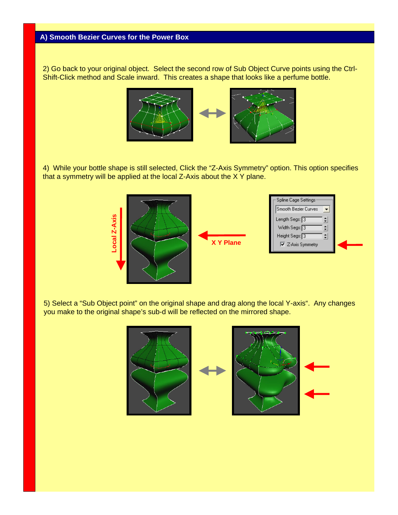2) Go back to your original object. Select the second row of Sub Object Curve points using the Ctrl-Shift-Click method and Scale inward. This creates a shape that looks like a perfume bottle.



4) While your bottle shape is still selected, Click the "Z-Axis Symmetry" option. This option specifies that a symmetry will be applied at the local Z-Axis about the X Y plane.



5) Select a "Sub Object point" on the original shape and drag along the local Y-axis". Any changes you make to the original shape's sub-d will be reflected on the mirrored shape.

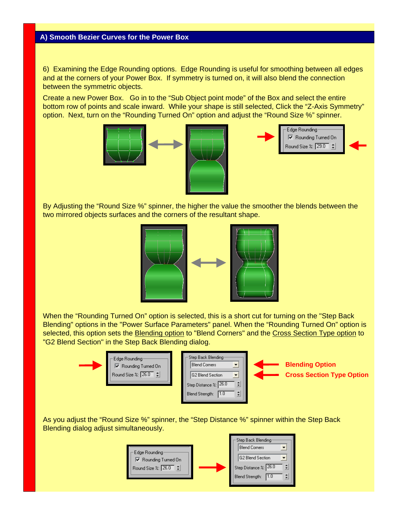6) Examining the Edge Rounding options. Edge Rounding is useful for smoothing between all edges and at the corners of your Power Box. If symmetry is turned on, it will also blend the connection between the symmetric objects.

Create a new Power Box. Go in to the "Sub Object point mode" of the Box and select the entire bottom row of points and scale inward. While your shape is still selected, Click the "Z-Axis Symmetry" option. Next, turn on the "Rounding Turned On" option and adjust the "Round Size %" spinner.





By Adjusting the "Round Size %" spinner, the higher the value the smoother the blends between the two mirrored objects surfaces and the corners of the resultant shape.



When the "Rounding Turned On" option is selected, this is a short cut for turning on the "Step Back Blending" options in the "Power Surface Parameters" panel. When the "Rounding Turned On" option is selected, this option sets the Blending option to "Blend Corners" and the Cross Section Type option to "G2 Blend Section" in the Step Back Blending dialog.



As you adjust the "Round Size %" spinner, the "Step Distance %" spinner within the Step Back Blending dialog adjust simultaneously.

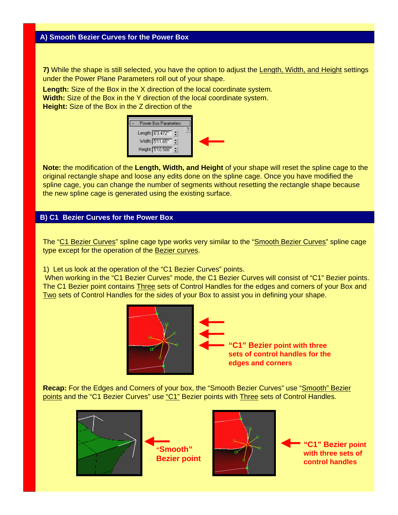**7)** While the shape is still selected, you have the option to adjust the Length, Width, and Height settings under the Power Plane Parameters roll out of your shape.

**Length:** Size of the Box in the X direction of the local coordinate system.

**Width:** Size of the Box in the Y direction of the local coordinate system.

**Height:** Size of the Box in the Z direction of the



**Note:** the modification of the **Length, Width, and Height** of your shape will reset the spline cage to the original rectangle shape and loose any edits done on the spline cage. Once you have modified the spline cage, you can change the number of segments without resetting the rectangle shape because the new spline cage is generated using the existing surface.

### **B) C1 Bezier Curves for the Power Box**

The "C1 Bezier Curves" spline cage type works very similar to the "Smooth Bezier Curves" spline cage type except for the operation of the Bezier curves.

1) Let us look at the operation of the "C1 Bezier Curves" points.

When working in the "C1 Bezier Curves" mode, the C1 Bezier Curves will consist of "C1" Bezier points. The C1 Bezier point contains Three sets of Control Handles for the edges and corners of your Box and Two sets of Control Handles for the sides of your Box to assist you in defining your shape.



**"C1" Bezier point with three sets of control handles for the edges and corners** 

**Recap:** For the Edges and Corners of your box, the "Smooth Bezier Curves" use "Smooth" Bezier points and the "C1 Bezier Curves" use "C1" Bezier points with Three sets of Control Handles.







**"C1" Bezier point with three sets of control handles**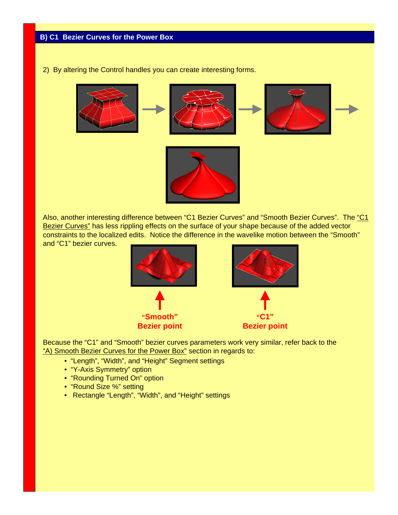2) By altering the Control handles you can create interesting forms.



Also, another interesting difference between "C1 Bezier Curves" and "Smooth Bezier Curves". The "C1 Bezier Curves" has less rippling effects on the surface of your shape because of the added vector constraints to the localized edits. Notice the difference in the wavelike motion between the "Smooth" and "C1" bezier curves.



Because the "C1" and "Smooth" bezier curves parameters work very similar, refer back to the "A) Smooth Bezier Curves for the Power Box" section in regards to:

- "Length", "Width", and "Height" Segment settings
- "Y-Axis Symmetry" option
- "Rounding Turned On" option
- "Round Size %" setting
- Rectangle "Length", "Width", and "Height" settings